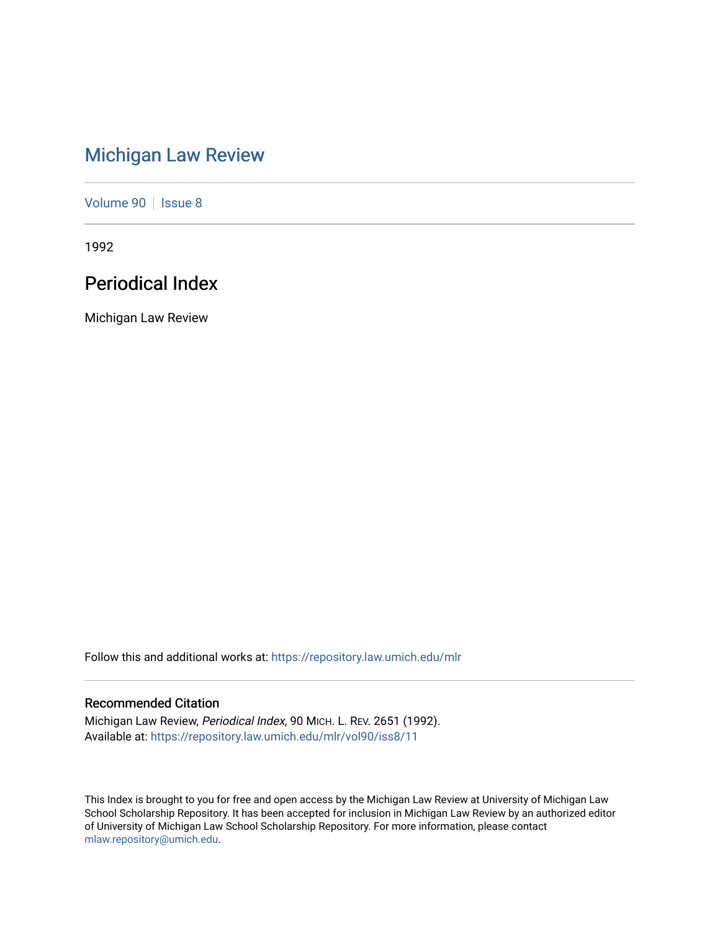# [Michigan Law Review](https://repository.law.umich.edu/mlr)

[Volume 90](https://repository.law.umich.edu/mlr/vol90) | [Issue 8](https://repository.law.umich.edu/mlr/vol90/iss8)

1992

# Periodical Index

Michigan Law Review

Follow this and additional works at: [https://repository.law.umich.edu/mlr](https://repository.law.umich.edu/mlr?utm_source=repository.law.umich.edu%2Fmlr%2Fvol90%2Fiss8%2F11&utm_medium=PDF&utm_campaign=PDFCoverPages) 

## Recommended Citation

Michigan Law Review, Periodical Index, 90 MICH. L. REV. 2651 (1992). Available at: [https://repository.law.umich.edu/mlr/vol90/iss8/11](https://repository.law.umich.edu/mlr/vol90/iss8/11?utm_source=repository.law.umich.edu%2Fmlr%2Fvol90%2Fiss8%2F11&utm_medium=PDF&utm_campaign=PDFCoverPages) 

This Index is brought to you for free and open access by the Michigan Law Review at University of Michigan Law School Scholarship Repository. It has been accepted for inclusion in Michigan Law Review by an authorized editor of University of Michigan Law School Scholarship Repository. For more information, please contact [mlaw.repository@umich.edu.](mailto:mlaw.repository@umich.edu)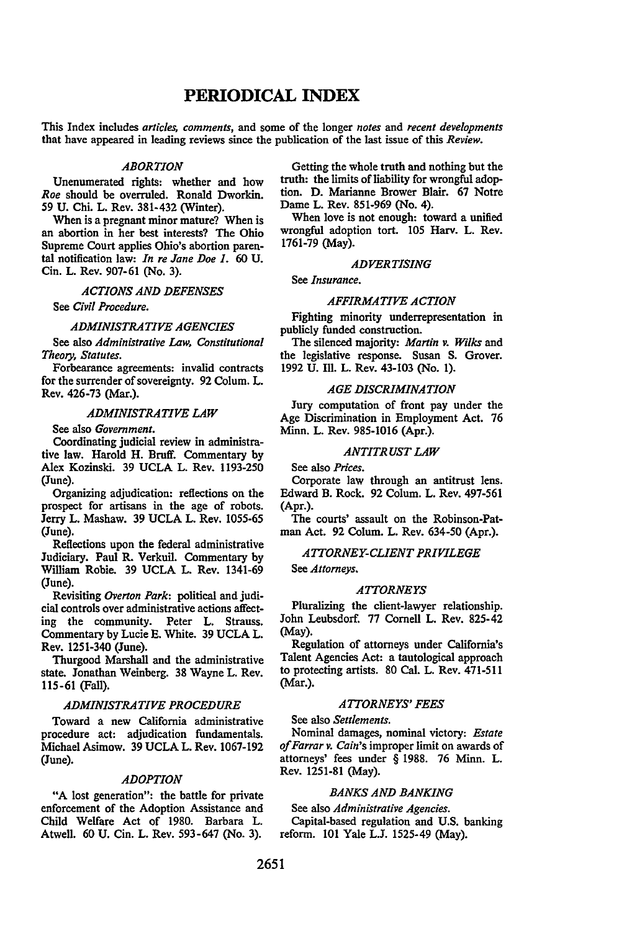## **PERIODICAL** INDEX

This Index includes *articles, comments,* and some of the longer *notes* and *recent developments*  that have appeared in leading reviews since the publication of the last issue of this *Review.* 

#### *ABORTION*

Unenumerated rights: whether and how *Roe* should be overruled. Ronald Dworkin. 59 U. Chi. L. Rev. 381-432 (Winter).

When is a pregnant minor mature? When is an abortion in her best interests? The Ohio Supreme Court applies Ohio's abortion parental notification law: *In re Jane Doe 1.* 60 U. Cin. L. Rev. 907-61 (No. 3).

*ACTIONS AND DEFENSES* 

See *Civil Procedure.* 

#### *ADMINISTRATIVE AGENCIES*

See also *Administrative Law, Constitutional Theory, Statutes.* 

Forbearance agreements: invalid contracts for the surrender of sovereignty. 92 Colum. L. Rev. 426-73 (Mar.).

#### *ADMINISTRATIVE LAW*

See also *Government.* 

Coordinating judicial review in administrative law. Harold H. Bruff. Commentary by Alex Kozinski. 39 UCLA L. Rev. 1193-250 (June).

Organizing adjudication: reflections on the prospect for artisans in the age of robots. Jerry L. Mashaw. 39 UCLA L. Rev. 1055-65 (June).

Reflections upon the federal administrative Judiciary. Paul R. Verkuil. Commentary by William Robie. 39 UCLA L. Rev. 1341-69 (June).

Revisiting *Overton Park:* political and judicial controls over administrative actions affecting the community. Peter L. Strauss. Commentary by Lucie E. White. 39 UCLA L. Rev. 1251-340 (June).

Thurgood Marshall and the administrative state. Jonathan Weinberg. 38 Wayne L. Rev. llS-61 (Fall).

## *ADMINISTRATIVE PROCEDURE*

Toward a new California administrative procedure act: adjudication fundamentals. Michael Asimow. 39 UCLA L. Rev. 1067-192 (June).

#### *ADOPTION*

"A lost generation": the battle for private enforcement of the Adoption Assistance and Child Welfare Act of 1980. Barbara L. Atwell. 60 U. Cin. L. Rev. 593-647 (No. 3).

Getting the whole truth and nothing but the truth: the limits of liability for wrongful adoption. D. Marianne Brower Blair. 67 Notre Dame L. Rev. 851-969 (No. 4).

When love is not enough: toward a unified wrongful adoption tort. 105 Harv. L. Rev. 1761-79 (May).

#### *ADVERTISING*

See *Insurance.* 

#### *AFFIRMATIVE ACTION*

Fighting minority underrepresentation in publicly funded construction.

The silenced majority: *Martin v. Wilks* and the legislative response. Susan S. Grover. 1992 U. Ill. L. Rev. 43-103 (No. 1).

#### *AGE DISCRIMINATION*

Jury computation of front pay under the Age Discrimination in Employment Act. 76 Minn. L. Rev. 985-1016 (Apr.).

#### *ANTITRUST LAW*

See also *Prices.* 

Corporate law through an antitrust lens. Edward B. Rock. 92 Colum. L. Rev. 497-561 (Apr.).

The courts' assault on the Robinson-Patman Act. 92 Colum. L. Rev. 634-50 (Apr.).

#### *ATTORNEY-CUENT PRIVILEGE*

See *Attorneys.* 

#### *ATTORNEYS*

Pluralizing the client-lawyer relationship. John Leubsdorf. 77 Cornell L. Rev. 825-42 (May).

Regulation of attorneys under California's Talent Agencies Act: a tautological approach to protecting artists. 80 Cal. L. Rev. 471-511 (Mar.).

#### *ATTORNEYS' FEES*

See also *Settlements.* 

Nominal damages, nominal victory: *Estate*  of Farrar v. Cain's improper limit on awards of attorneys' fees under § 1988. 76 Minn. L. Rev. 1251-81 (May).

## *BANKS AND BANKING*

See also *Administrative Agencies.* 

Capital-based regulation and U.S. banking reform. 101 Yale L.J. 1525-49 (May).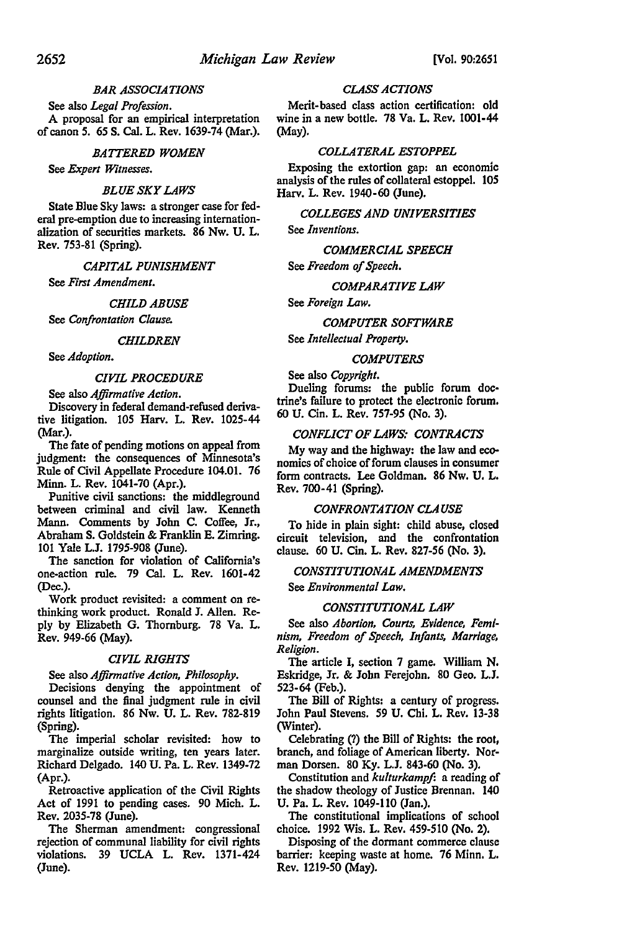## *BAR ASSOCIATIONS*

See also *Legal Profession.*  A proposal for an empirical interpretation of canon 5. 65 S. Cal. L. Rev. 1639-74 (Mar.).

#### *BATTERED WOMEN*

See *Expert Witnesses.* 

#### *BLUE SKY LAWS*

State Blue Sky laws: a stronger case for federal pre-emption due to increasing internationalization of securities markets. 86 Nw. U. L. Rev. 753-81 (Spring).

*CAPITAL PUNISHMENT* 

See *First Amendment.* 

#### *CHILD ABUSE*

See *Confrontation Clause.* 

#### *CHILDREN*

See *Adoption.* 

#### *CIVIL PROCEDURE*

See also *Affirmative Action.* 

Discovery in federal demand-refused derivative litigation. 105 Harv. L. Rev. 1025-44 (Mar.).

The fate of pending motions on appeal from judgment: the consequences of Minnesota's Rule of Civil Appellate Procedure 104.01. 76 Minn. L. Rev. 1041-70 (Apr.).

Punitive civil sanctions: the middleground between criminal and civil law. Kenneth Mann. Comments by John C. Coffee, Jr., Abraham S. Goldstein & Franklin E. Zimring. 101 Yale L.J. 1795-908 (June).

The sanction for violation of California's one-action rule. 79 Cal. L. Rev. 1601-42 (Dec.).

Work product revisited: a comment on rethinking work product. Ronald J. Allen. Reply by Elizabeth G. Thornburg. 78 Va. L. Rev. 949-66 (May).

#### *CIVIL RIGHTS*

#### See also *Affirmative Action, Philosophy.*

Decisions denying the appointment of counsel and the final judgment rule in civil rights litigation. 86 Nw. U. L. Rev. 782-819 (Spring).

The imperial scholar revisited: how to marginalize outside writing, ten years later. Richard Delgado. 140 U. Pa. L. Rev. 1349-72 (Apr.).

Retroactive application of the Civil Rights Act of 1991 to pending cases. 90 Mich. L. Rev. 2035-78 (June).

The Sherman amendment: congressional rejection of communal liability for civil rights violations. 39 UCLA L. Rev. 1371-424 (June).

## *CLASS ACTIONS*

Merit-based class action certification: old wine in a new bottle. 78 Va. L. Rev. 1001-44 (May).

#### *COLLATERAL ESTOPPEL*

Exposing the extortion gap: an economic analysis of the rules of collateral estoppel. 105 Harv. L. Rev. 1940-60 (June).

## *COLLEGES AND UNIVERSITIES*

See *Inventions.* 

## *COMMERCIAL SPEECH*

See *Freedom of Speech.* 

#### *COMPARATIVE LAW*

See *Foreign Law.* 

#### *COMPUTER SOFTWARE*

See *Intellectual Property.* 

#### *COMPUTERS*

See also *Copyright.* 

Dueling forums: the public forum doctrine's failure to protect the electronic forum. 60 U. Cin. L. Rev. 757-95 (No. 3).

#### *CONFLICT OF LAWS: CONTRACTS*

My way and the highway: the law and economics of choice of forum clauses in consumer form contracts. Lee Goldman. 86 Nw. U. L. Rev. 700-41 (Spring).

#### *CONFRONTATION CLAUSE*

To hide in plain sight: child abuse, closed circuit television, and the confrontation clause. 60 U. Cin. L. Rev. 827-56 (No. 3),

## *CONSTITUTIONAL AMENDMENTS*  See *Environmental Law.*

#### *CONSTITUTIONAL LAW*

See also *Abortion, Courts, Evidence, Feminism, Freedom of Speech, Infants, Marriage, Religion.* 

The article I, section 7 game. William N. Eskridge, Jr. & John Ferejohn. 80 Geo. L.J. 523-64 (Feb.).

The Bill of Rights: a century of progress. John Paul Stevens. 59 U. Chi. L. Rev. 13-38 (Winter).

Celebrating (?) the Bill of Rights: the root, branch, and foliage of American liberty. Norman Dorsen. 80 Ky. L.J. 843-60 (No. 3).

Constitution and *ku/turkampf:* a reading of the shadow theology of Justice Brennan. 140 U. Pa. L. Rev. 1049-110 (Jan.).

The constitutional implications of school choice. 1992 Wis. L. Rev. 459-SlO (No. 2).

Disposing of the dormant commerce clause barrier: keeping waste at home. 76 Minn. L. Rev. 1219-50 (May).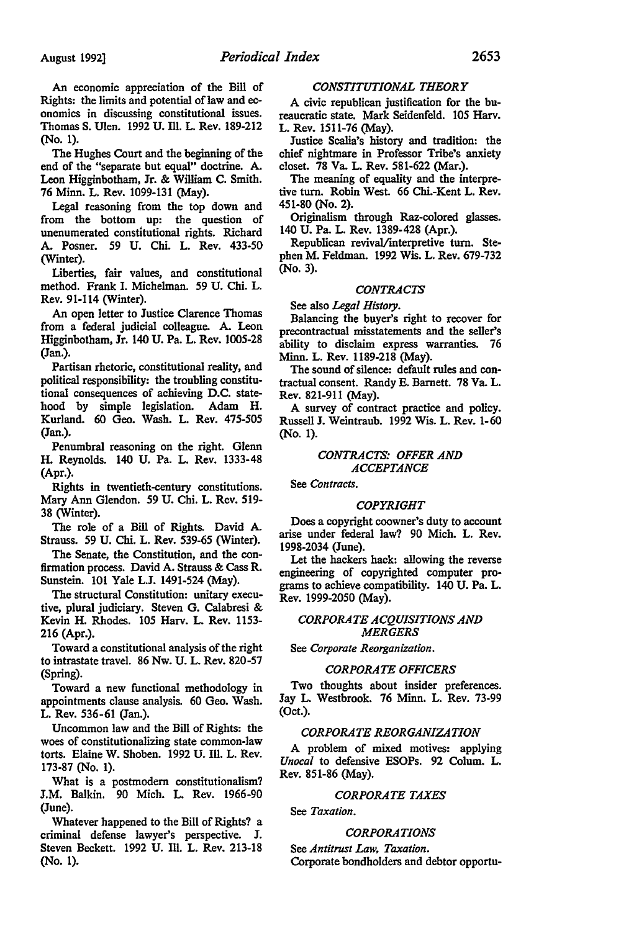An economic appreciation of the Bill of Rights: the limits and potential of law and economics in discussing constitutional issues. Thomas S. Ulen. 1992 U. Ill. L. Rev. 189-212 (No. 1).

The Hughes Court and the beginning of the end of the "separate but equal" doctrine. A. Leon Higginbotham, Jr. & William C. Smith. 76 Minn. L. Rev. 1099-131 (May).

Legal reasoning from the top down and from the bottom up: the question of unenumerated constitutional rights. Richard A. Posner. 59 U. Chi. L. Rev. 433-50 (Winter).

Liberties, fair values, and constitutional method. Frank I. Michelman. 59 U. Chi. L. Rev. 91-114 (Winter).

An open letter to Justice Clarence Thomas from a federal judicial colleague. A. Leon Higginbotham, Jr. 140 U. Pa. L. Rev. 1005-28 (Jan.).

Partisan rhetoric, constitutional reality, and political responsibility: the troubling constitutional consequences of achieving D.C. statehood by simple legislation. Adam H. Kurland. 60 Geo. Wash. L. Rev. 475-505 (Jan.).

Penumbral reasoning on the right. Glenn H. Reynolds. 140 U. Pa. L. Rev. 1333-48 (Apr.).

Rights in twentieth-century constitutions. Mary Ann Glendon. 59 U. Chi. L. Rev. 519- 38 (Winter).

The role of a Bill of Rights. David A. Strauss. 59 U. Chi. L. Rev. 539-65 (Winter).

The Senate, the Constitution, and the confirmation process. David A. Strauss & Cass R. Sunstein. 101 Yale L.J. 1491-524 (May).

The structural Constitution: unitary executive, plural judiciary. Steven G. Calabresi & Kevin H. Rhodes. 105 Harv. L. Rev. 1153- 216 (Apr.).

Toward a constitutional analysis of the right to intrastate travel. 86 Nw. U. L. Rev. 820-57 (Spring).

Toward a new functional methodology in appointments clause analysis. 60 Geo. Wash. L. Rev. 536-61 (Jan.).

Uncommon law and the Bill of Rights: the woes of constitutionalizing state common-law torts. Elaine W. Shoben. 1992 U. Ill. L. Rev. 173-87 (No. 1).

What is a postmodern constitutionalism? J.M. Balkin. 90 Mich. L. Rev. 1966-90 (June).

Whatever happened to the Bill of Rights? a criminal defense lawyer's perspective. J. Steven Beckett. 1992 U. Ill. L. Rev. 213-18 (No. 1).

## *CONSTITUTIONAL THEORY*

A civic republican justification for the bureaucratic state. Mark Seidenfeld. 105 Harv. L. Rev. 1511-76 (May).

Justice Scalia's history and tradition: the chief nightmare in Professor Tribe's anxiety closet. 78 Va. L. Rev. 581-622 (Mar.).

The meaning of equality and the interpretive tum. Robin West. 66 Chi.-Kent L. Rev. 451-80 (No. 2).

Originalism through Raz-colored glasses. 140 U. Pa. L. Rev. 1389-428 (Apr.).

Republican revival/interpretive turn. Stephen M. Feldman. 1992 Wis. L. Rev. 679-732 (No. 3).

## *CONTRACTS*

See also *Legal History.* 

Balancing the buyer's right to recover for precontractual misstatements and the seller's ability to disclaim express warranties. 76 Minn. L. Rev. 1189-218 (May).

The sound of silence: default rules and contractual consent. Randy E. Barnett. 78 Va. L. Rev. 821-911 (May).

A survey of contract practice and policy. Russell J. Weintraub. 1992 Wis. L. Rev. 1-60 (No. 1).

## *CONTRACTS: OFFER AND ACCEPTANCE*

See *Contracts.* 

#### *COPYRIGHT*

Does a copyright coowner's duty to account arise under federal law? 90 Mich. L. Rev. 1998-2034 (June).

Let the hackers hack: allowing the reverse engineering of copyrighted computer programs to achieve compatibility. 140 U. Pa. L. Rev. 1999-2050 (May).

#### *CORPORATE ACQUISITIONS AND MERGERS*

See *Corporate Reorganization.* 

#### *CORPORATE OFFICERS*

Two thoughts about insider preferences. Jay L. Westbrook. 76 Minn. L. Rev. 73-99 (Oct.).

## *CORPORATE REORGANIZATION*

A problem of mixed motives: applying *Unocal* to defensive ESOPs. 92 Colum. L. Rev. 851-86 (May).

#### *CORPORATE TAXES*

See *Taxation.* 

#### *CORPORATIONS*

See *Antitrust Law, Taxation.*  Corporate bondholders and debtor opportu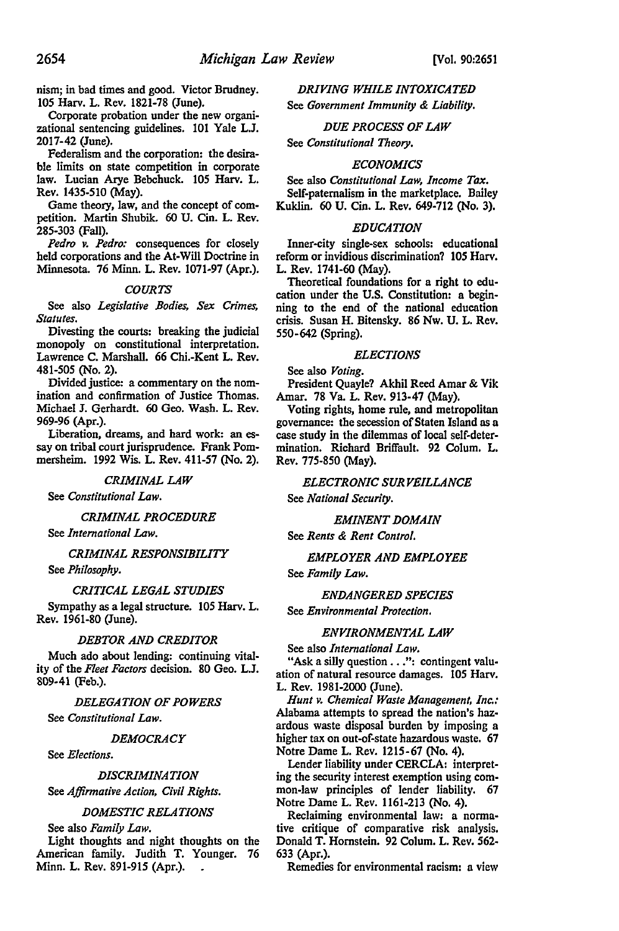nism; in bad times and good. Victor Brudney. 105 Harv. L. Rev. 1821-78 (June).

Corporate probation under the new organizational sentencing guidelines. 101 Yale L.J. 2017-42 (June).

Federalism and the corporation: the desirable limits on state competition in corporate law. Lucian Arye Bebchuck. 105 Harv. L. Rev. 1435-510 (May).

Game theory, law, and the concept of competition. Martin Shubik. 60 U. Cin. L. Rev. 285-303 (Fall).

*Pedro v. Pedro:* consequences for closely held corporations and the At-Will Doctrine in Minnesota. 76 Minn. L. Rev. 1071-97 (Apr.).

#### *COURTS*

See also *Legislative Bodies, Sex Crimes, Statutes.* 

Divesting the courts: breaking the judicial monopoly on constitutional interpretation. Lawrence C. Marshall. 66 Chi.-Kent L. Rev. 481-505 (No. 2).

Divided justice: a commentary on the nomination and confirmation of Justice Thomas. Michael J. Gerhardt. 60 Geo. Wash. L. Rev. 969-96 (Apr.).

Liberation, dreams, and hard work: an essay on tribal court jurisprudence. Frank Pommersheim. 1992 Wis. L. Rev. 411-57 (No. 2).

#### *CRIMINAL LAW*

See *Constitutional Law.* 

*CRIMINAL PROCEDURE* 

See *International Law.* 

#### *CRIMINAL RESPONSIBILITY*

See *Philosophy.* 

#### *CRITICAL LEGAL STUDIES*

Sympathy as a legal structure. 105 Harv. L. Rev. 1961-80 (June).

#### *DEBTOR AND CREDITOR*

Much ado about lending: continuing vitality of the *Fleet Factors* decision. 80 Geo. L.J. 809-41 (Feb.).

#### *DELEGATION OF POWERS*

See *Constitutional Law.* 

#### *DEMOCRACY*

See *Elections.* 

## *DISCRIMINATION*

See *Affirmative Action, Civil Rights.* 

#### *DOMESTIC RELATIONS*

See also *Family Law.* 

Light thoughts and night thoughts on the American family. Judith T. Younger. 76 Minn. L. Rev. 891-915 (Apr.).

## *DRIVING WHILE INTOXICATED*

See *Government Immunity* & *Liability.* 

#### *DUE PROCESS OF LAW*

See *Constitutional Theory.* 

#### *ECONOMICS*

See also *Constitutional Law, Income Tax.*  Self-paternalism in the marketplace. Bailey Kuklin. 60 U. Cin. L. Rev. 649-712 (No. 3).

#### *EDUCATION*

Inner-city single-sex schools: educational reform or invidious discrimination? 105 Harv. L. Rev. 1741-60 (May).

Theoretical foundations for a right to education under the U.S. Constitution: a beginning to the end of the national education crisis. Susan H. Bitensky. 86 Nw. U. L. Rev. 550-642 (Spring).

## *ELECTIONS*

See also *Voting.* 

President Quayle? Akhil Reed Amar & Vik Amar. 78 Va. L. Rev. 913-47 (May).

Voting rights, home rule, and metropolitan governance: the secession of Staten Island as a case study in the dilemmas of local self-determination. Richard Brilfault. 92 Colum. L. Rev. 775-850 (May).

## *ELECTRONIC SURVEILLANCE*

See *National Security.* 

## *EMINENT DOMAIN*

See *Rents* & *Rent Control.* 

## *EMPLOYER AND EMPLOYEE*

See *Family Law.* 

#### *ENDANGERED SPECIES*

See *Environmental Protection.* 

#### *ENVIRONMENTAL LAW*

See also *International Law.* 

"Ask a silly question . . .": contingent valuation of natural resource damages. 105 Harv. L. Rev. 1981-2000 (June).

*Hunt v. Chemical Waste Management, Inc.:*  Alabama attempts to spread the nation's hazardous waste disposal burden by imposing a higher tax on out-of-state hazardous waste. 67 Notre Dame L. Rev. 1215-67 (No. 4).

Lender liability under CERCLA: interpreting the security interest exemption using common-law principles of lender liability. 67 Notre Dame L. Rev. 1161-213 (No. 4).

Reclaiming environmental law: a normative critique of comparative risk analysis. Donald T. Hornstein. 92 Colum. L. Rev. 562- 633 (Apr.).

Remedies for environmental racism: a view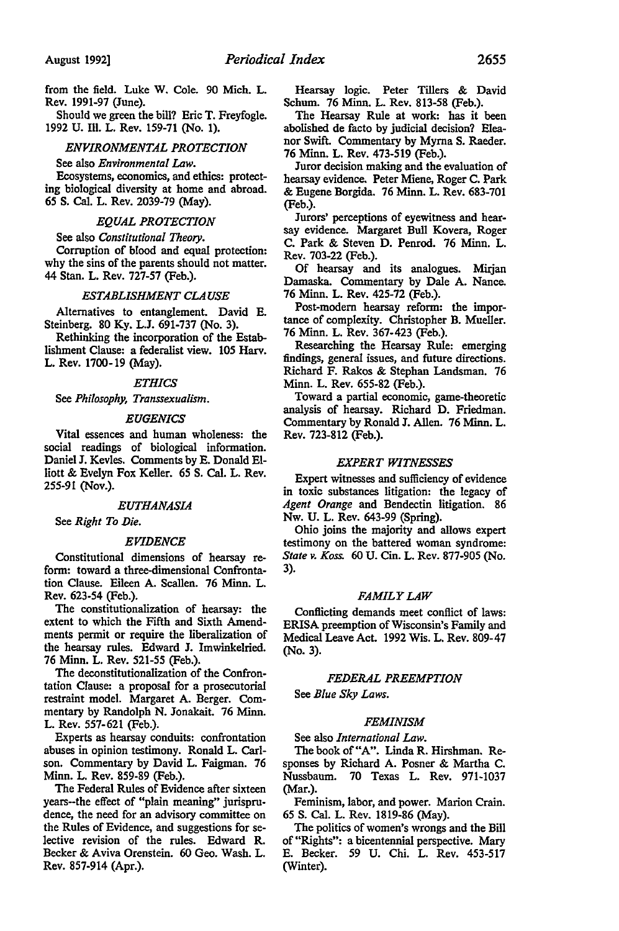from the field. Luke W. Cole. 90 Mich. L. Rev. 1991-97 (June).

Should we green the bill? Eric T. Freyfogle. 1992 U. Ill. L. Rev. 159-71 (No. 1).

#### *ENVIRONMENTAL PROTECTION*

## See also *Environmental Law.*

Ecosystems, economics, and ethics: protecting biological diversity at home and abroad. 65 S. Cal. L. Rev. 2039-79 (May).

## *EQUAL PROTECTION*

See also *Constitutional Theory.*  Corruption of blood and equal protection: why the sins of the parents should not matter. 44 Stan. L. Rev. 727-57 (Feb.).

#### *ESTABLISHMENT CLAUSE*

Alternatives to entanglement. David E. Steinberg. 80 Ky. L.J. 691-737 (No. 3).

Rethinking the incorporation of the Establishment Clause: a federalist view. 105 Harv. L. Rev. 1700-19 (May).

#### *ETHICS*

See *Philosophy, Transsexualism.* 

#### *EUGENICS*

Vital essences and human wholeness: the social readings of biological information. Daniel J. Kevles. Comments by E. Donald Elliott & Evelyn Fox Keller. 65 S. Cal. L. Rev. 255-91 (Nov.).

#### *EUTHANASIA*

See *Right To Die.* 

#### *EVIDENCE*

Constitutional dimensions of hearsay reform: toward a three-dimensional Confrontation Clause. Eileen A. Scallen. 76 Minn. L. Rev. 623-54 (Feb.).

The constitutionalization of hearsay: the extent to which the Fifth and Sixth Amendments permit or require the liberalization of the hearsay rules. Edward J. lmwinkelried. 76 Minn. L. Rev. 521-55 (Feb.).

The deconstitutionalization of the Confrontation Clause: a proposal for a prosecutorial restraint model. Margaret A. Berger. Commentary by Randolph N. Jonakait. 76 Minn. L. Rev. 557-621 (Feb.).

Experts as hearsay conduits: confrontation abuses in opinion testimony. Ronald L. Carlson. Commentary by David L. Faigman. 76 Minn. L. Rev. 859-89 (Feb.).

The Federal Rules of Evidence after sixteen years-the effect of "plain meaning" jurisprudence, the need for an advisory committee on the Rules of Evidence, and suggestions for selective revision of the rules. Edward R. Becker & Aviva Orenstein. 60 Geo. Wash. L. Rev. 857-914 (Apr.).

Hearsay logic. Peter Tillers & David Schum. 76 Minn. L. Rev. 813-58 (Feb.).

The Hearsay Rule at work: has it been abolished de facto by judicial decision? Eleanor Swift. Commentary by Myrna S. Raeder. 76 Minn. L. Rev. 473-519 (Feb.).

Juror decision making and the evaluation of hearsay evidence. Peter Miene, Roger C. Park & Eugene Borgida. 76 Minn. L. Rev. 683-701 (Feb.).

Jurors' perceptions of eyewitness and hearsay evidence. Margaret Bull Kovera, Roger C. Park & Steven D. Penrod. 76 Minn. L. Rev. 703-22 (Feb.).

Of hearsay and its analogues. Mirjan Damaska. Commentary by Dale A. Nance. 76 Minn. L. Rev. 425-72 (Feb.).

Post-modem hearsay reform: the importance of complexity. Christopher B. Mueller. 76 Minn. L. Rev. 367-423 (Feb.).

Researching the Hearsay Rule: emerging findings, general issues, and future directions. Richard F. Rakos & Stephan Landsman. 76 Minn. L. Rev. 655-82 (Feb.).

Toward a partial economic, game-theoretic analysis of hearsay. Richard D. Friedman. Commentary by Ronald J. Allen. 76 Minn. L. Rev. 723-812 (Feb.).

## *EXPERT WITNESSES*

Expert witnesses and sufficiency of evidence in toxic substances litigation: the legacy of *Agent Orange* and Bendectin litigation. 86 Nw. U. L. Rev. 643-99 (Spring).

Ohio joins the majority and allows expert testimony on the battered woman syndrome: *State v. Koss.* 60 U. Cin. L. Rev. 877-905 (No. 3).

#### *FAMILY LAW*

Conflicting demands meet conflict of laws: ERISA preemption of Wisconsin's Family and Medical Leave Act. 1992 Wis. L. Rev. 809-47 (No. 3).

## *FEDERAL PREEMPTION*

See *Blue Sky Laws.* 

## *FEMINISM*

See also *International Law.* 

The book of"A". Linda R. Hirshman. Responses by Richard A. Posner & Martha C. Nussbaum. 70 Texas L. Rev. 971-1037 (Mar.).

Feminism, labor, and power. Marion Crain. 65 S. Cal. L. Rev. 1819-86 (May).

The politics of women's wrongs and the Bill of"Rights": a bicentennial perspective. Mary E. Becker. 59 U. Chi. L. Rev. 453-517 (Winter).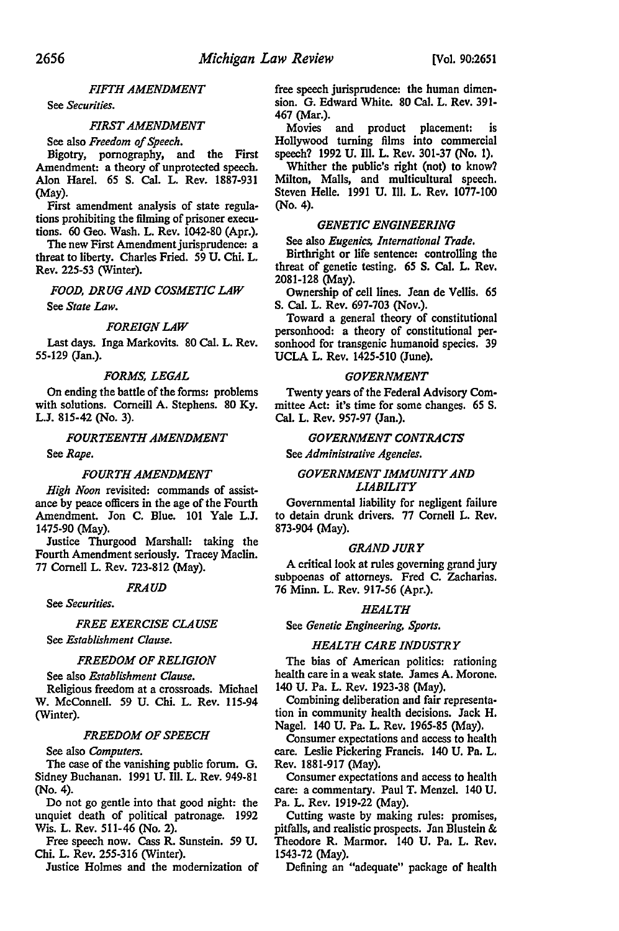#### *FIFTH AMENDMENT*

See *Securities.* 

#### *FIRST AMENDMENT*

See also *Freedom of Speech.* 

Bigotry, pornography, and the First Amendment: a theory of unprotected speech. Alon Hare!. *65* S. Cal. L. Rev. 1887-931 (May).

First amendment analysis of state regulations prohibiting the filming of prisoner executions. 60 Geo. Wash. L. Rev. 1042-80 (Apr.).

The new First Amendment jurisprudence: a threat to liberty. Charles Fried. *59* U. Chi. L. Rev. 225-53 (Winter).

*FOOD, DRUG AND COSMETIC LAW*  See *State Law.* 

## *FOREIGN LAW*

Last days. Inga Markovits. 80 Cal. L. Rev. 55-129 (Jan.).

#### *FORMS, LEGAL*

On ending the battle of the forms: problems with solutions. Corneill A. Stephens. 80 Ky. L.J. 815-42 (No. 3).

*FOURTEENTH AMENDMENT* 

See *Rape.* 

#### *FOURTH AMENDMENT*

*High Noon* revisited: commands of assistance by peace officers in the age of the Fourth Amendment. Jon C. Blue. 101 Yale L.J. 1475-90 (May).

Justice Thurgood Marshall: taking the Fourth Amendment seriously. Tracey Maclin. 77 Cornell L. Rev. 723-812 (May).

#### *FRAUD*

See *Securities.* 

(Winter).

#### *FREE EXERCISE CLAUSE*

See *Establishment Clause.* 

#### *FREEDOM OF RELIGION*

See also *Establishment Clause.*  Religious freedom at a crossroads. Michael W. McConnell. *59* U. Chi. L. Rev. 115-94

## *FREEDOM OF SPEECH*

See also *Computers.* 

The case of the vanishing public forum. G. Sidney Buchanan. 1991 U. III. L. Rev. 949-81 (No. 4).

Do not go gentle into that good night: the unquiet death of political patronage. 1992 Wis. L. Rev. 511-46 (No. 2).

Free speech now. Cass R. Sunstein. *59* U. Chi. L. Rev. 255-316 (Winter).

Justice Holmes and the modernization of

free speech jurisprudence: the human dimension. G. Edward White. 80 Cal. L. Rev. 391- 467 (Mar.).

Movies and product placement: is Hollywood turning films into commercial speech? 1992 U. III. L. Rev. 301-37 (No. 1).

Whither the public's right (not) to know? Milton, Malls, and multicultural speech. Steven Helle. 1991 U. III. L. Rev. 1077-100 (No. 4).

## *GENETIC ENGINEERING*

See also *Eugenics, International Trade.* 

Birthright or life sentence: controlling the threat of genetic testing. *65* S. Cal. L. Rev. 2081-128 (May).

Ownership of cell lines. Jean de Vellis. 65 S. Cal. L. Rev. 697-703 (Nov.).

Toward a general theory of constitutional personhood: a theory of constitutional personhood for transgenic humanoid species. 39 UCLA L. Rev. 1425-510 (June).

## *GOVERNMENT*

Twenty years of the Federal Advisory Committee Act: it's time for some changes. 65 S. Cal. L. Rev. 957-97 (Jan.).

## *GOVERNMENT CONTRACTS*

See *Administrative Agencies.* 

## *GOVERNMENT IMMUNITY AND UABILITY*

Governmental liability for negligent failure to detain drunk drivers. 77 Cornell L. Rev. 873-904 (May).

#### *GRAND JURY*

A critical look at rules governing grand jury subpoenas of attorneys. Fred C. Zacharias. 76 Minn. L. Rev. 917-56 (Apr.).

## *HEALTH*

See *Genetic Engineering, Sports.* 

## *HEALTH CARE INDUSTRY*

The bias of American politics: rationing health care in a weak state. James A. Morone. 140 U. Pa. L. Rev. 1923-38 (May).

Combining deliberation and fair representation in community health decisions. Jack H. Nagel. 140 U. Pa. L. Rev. 1965-85 (May).

Consumer expectations and access to health care. Leslie Pickering Francis. 140 U. Pa. L. Rev. 1881-917 (May).

Consumer expectations and access to health care: a commentary. Paul T. Menzel. 140 U. Pa. L. Rev. 1919-22 (May).

Cutting waste by making rules: promises, pitfalls, and realistic prospects. Jan Blustein & Theodore R. Marmor. 140 U. Pa. L. Rev. 1543-72 (May).

Defining an "adequate" package of health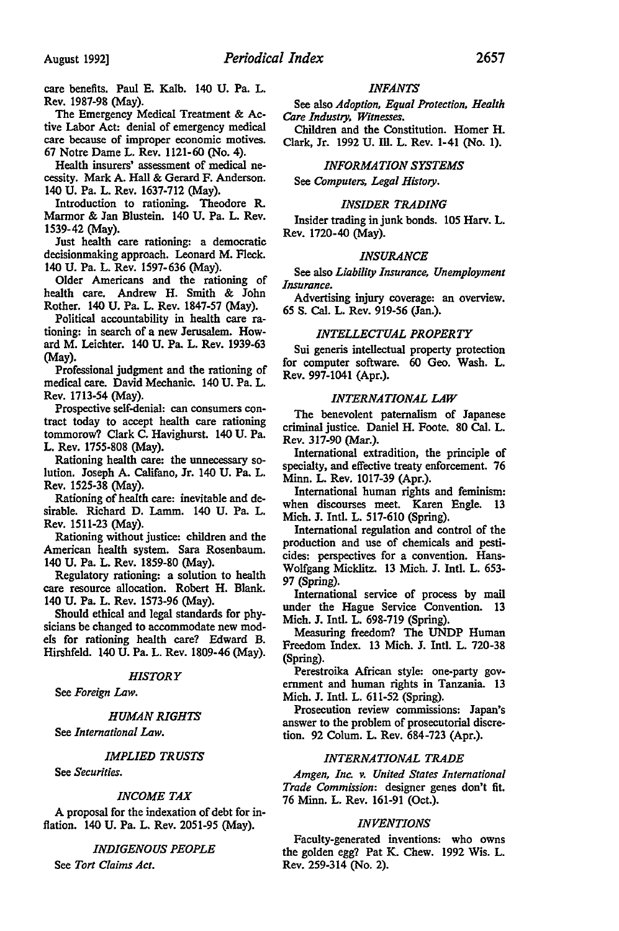care benefits. Paul E. Kalb. 140 U. Pa. L. Rev. 1987-98 (May).

The Emergency Medical Treatment & Active Labor Act: denial of emergency medical care because of improper economic motives. 67 Notre Dame L. Rev. 1121-60 (No. 4).

Health insurers' assessment of medical necessity. Mark A. Hall & Gerard F. Anderson. 140 U. Pa. L. Rev. 1637-712 (May).

Introduction to rationing. Theodore R. Marmor & Jan Blustein. 140 U. Pa. L. Rev. 1539-42 (May).

Just health care rationing: a democratic decisionmaking approach. Leonard M. Fleck. 140 U. Pa. L. Rev. 1597-636 (May).

Older Americans and the rationing of health care. Andrew H. Smith & John Rother. 140 U. Pa. L. Rev. 1847-57 (May).

Political accountability in health care rationing: in search of a new Jerusalem. Howard M. Leichter. 140 U. Pa. L. Rev. 1939-63 (May).

Professional judgment and the rationing of medical care. David Mechanic. 140 U. Pa. L. Rev. 1713-54 (May).

Prospective self-denial: can consumers contract today to accept health care rationing tommorow? Clark C. Havighurst. 140 U. Pa. L. Rev. 1755-808 (May).

Rationing health care: the unnecessary solution. Joseph A. Califano, Jr. 140 U. Pa. L. Rev. 1525-38 (May).

Rationing of health care: inevitable and desirable. Richard D. Lamm. 140 U. Pa. L. Rev. 1511-23 (May).

Rationing without justice: children and the American health system. Sara Rosenbaum. 140 U. Pa. L. Rev. 1859-80 (May).

Regulatory rationing: a solution to health care resource allocation. Robert H. Blank. 140 U. Pa. L. Rev. 1573-96 (May).

Should ethical and legal standards for physicians be changed to accommodate new models for rationing health care? Edward B. Hirshfeld. 140 U. Pa. L. Rev. 1809-46 (May).

#### *HISTORY*

See *Foreign Law.* 

#### *HUMAN RIGHTS*

See *International Law.* 

## *IMPLIED TRUSTS*

See *Securities.* 

#### *INCOME TAX*

A proposal for the indexation of debt for inflation. 140 U. Pa. L. Rev. 2051-95 (May).

## *INDIGENOUS PEOPLE*

See *Tort Claims Act.* 

#### *INFANTS*

See also *Adoption, Equal Protection, Health Care Industry, Witnesses.* 

Children and the Constitution. Homer H. Clark, Jr. 1992 U. Ill. L. Rev. 1-41 (No. 1).

## *INFORMATION SYSTEMS*

See *Computers, Legal History.* 

#### *INSIDER TRADING*

Insider trading in junk bonds. 105 Harv. L. Rev. 1720-40 (May).

#### *INSURANCE*

See also *Liability Insurance, Unemployment Insurance.* 

Advertising injury coverage: an overview. 65 S. Cal. L. Rev. 919-56 (Jan.).

#### *INTELLECTUAL PROPERTY*

Sui generis intellectual property protection for computer software. 60 Geo. Wash. L. Rev. 997-1041 (Apr.).

## *INTERNATIONAL LAW*

The benevolent paternalism of Japanese criminal justice. Daniel H. Foote. 80 Cal. L. Rev. 317-90 (Mar.).

International extradition, the principle of specialty, and effective treaty enforcement. 76 Minn. L. Rev. 1017-39 (Apr.).

International human rights and feminism: when discourses meet. Karen Engle. 13 Mich. J. Intl. L. 517-610 (Spring).

International regulation and control of the production and use of chemicals and pesticides: perspectives for a convention. Hans-Wolfgang Micklitz. 13 Mich. J. Intl. L. 653- 97 (Spring).

International service of process by mail under the Hague Service Convention. 13 Mich. J. Intl. L. 698-719 (Spring).

Measuring freedom? The UNDP Human Freedom Index. 13 Mich. J. Intl. L. 720-38 (Spring).

Perestroika African style: one-pariy government and human rights in Tanzania. 13 Mich. J. Intl. L. 611-52 (Spring).

Prosecution review commissions: Japan's answer to the problem of prosecutorial discretion. 92 Colum. L. Rev. 684-723 (Apr.).

## *INTERNATIONAL TRADE*

*Amgen, Inc. v. United States International Trade Commission:* designer genes don't fit. 76 Minn. L. Rev. 161-91 (Oct.).

## *INVENTIONS*

Faculty-generated inventions: who owns the golden egg? Pat K. Chew. 1992 Wis. L. Rev. 259-314 (No. 2).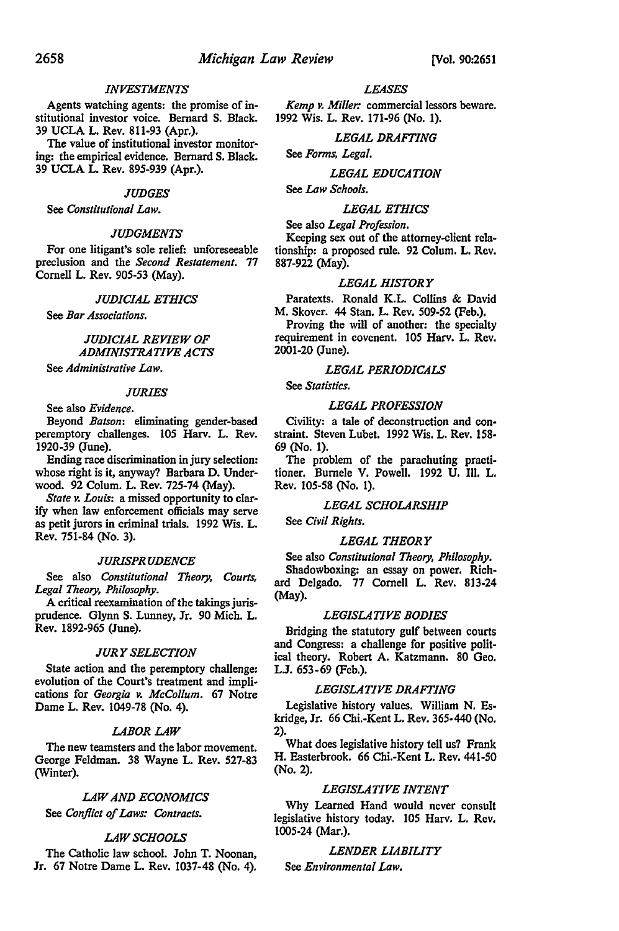#### *INVESTMENTS*

Agents watching agents: the promise of institutional investor voice. Bernard S. Black. 39 UCLA L. Rev. 811-93 (Apr.).

The value of institutional investor monitoring: the empirical evidence. Bernard S. Black. 39 UCLA L. Rev. 895-939 (Apr.).

#### *JUDGES*

See *Constitutional Law.* 

#### *JUDGMENTS*

For one litigant's sole relief: unforeseeable preclusion and the *Second Restatement.* 77 Cornell L. Rev. 905-53 (May).

#### *JUDICIAL ETHICS*

See *Bar Associations.* 

## *JUDICIAL REVIEW OF ADMINISTRATIVE ACTS*

See *Administrative Law.* 

## *JURIES*

See also *Evidence.* 

Beyond *Batson:* eliminating gender-based peremptory challenges. 105 Harv. L. Rev. 1920-39 (June).

Ending race discrimination in jury selection: whose right is it, anyway? Barbara D. Underwood. 92 Colum. L. Rev. 725-74 (May).

*State v. Lauis:* a missed opportunity to clarify when Jaw enforcement officials may serve as petit jurors in criminal trials. 1992 Wis. L. Rev. 751-84 (No. 3).

## *JURISPRUDENCE*

See also *Constitutional Theory, Courts, Legal Theory, Philosophy.* 

A critical reexamination of the takings jurisprudence. Glynn S. Lunney, Jr. 90 Mich. L. Rev. 1892-965 (June).

#### *JURY SELECTION*

State action and the peremptory challenge: evolution of the Court's treatment and implications for *Georgia v. McCollum.* 67 Notre Dame L. Rev. 1049-78 (No. 4).

## *LABOR LAW*

The new teamsters and the labor movement. George Feldman. 38 Wayne L. Rev. 527-83 (Winter).

#### *LAW AND ECONOMICS*

See *Conflict of Laws: Contracts.* 

#### *LAW SCHOOLS*

The Catholic law school. John T. Noonan, Jr. 67 Notre Dame L. Rev. 1037-48 (No. 4).

#### *LEASES*

*Kemp v. Miller:* commercial lessors beware. 1992 Wis. L. Rev. 171-96 (No. 1).

#### *LEGAL DRAFTING*

See *Forms, Legal.* 

## *LEGAL EDUCATION*

See *Law Schools.* 

#### *LEGAL ETHICS*

#### See also *Legal Profession.*

Keeping sex out of the attorney-client relationship: a proposed rule. 92 Colum. L. Rev. 887-922 (May).

#### *LEGAL HISTORY*

Paratexts. Ronald K.L. Collins & David M. Skover. 44 Stan. L. Rev. 509-52 (Feb.).

Proving the will of another: the specialty requirement in covenent. 105 Harv. L. Rev. 2001-20 (June).

## *LEGAL PERIODICALS*

See *Statistics.* 

#### *LEGAL PROFESSION*

Civility: a tale of deconstruction and constraint. Steven Lubet. 1992 Wis. L. Rev. 158- 69 (No. 1).

The problem of the parachuting practi· tioner. Burnele V. Powell. 1992 U. Ill. L. Rev. 105-58 (No. 1).

#### *LEGAL SCHOLARSHIP*

See *Civil Rights.* 

## *LEGAL THEORY*

See also *Constitutional Theory, Philosophy.*  Shadowboxing: an essay on power. Richard Delgado. 77 Cornell L. Rev. 813-24 (May).

## *LEGISLATIVE BODIES*

Bridging the statutory gulf between courts and Congress: a challenge for positive political theory. Robert A. Katzmann. 80 Geo. L.J. 653-69 (Feb.).

#### *LEGISLATIVE DRAFTING*

Legislative history values. William N. Eskridge, Jr. 66 Chi.-Kent L. Rev. 365-440 (No. 2).

What does legislative history tell us? Frank H. Easterbrook. 66 Chi.-Kent L. Rev. 441-50 (No. 2).

## *LEGISLATIVE INTENT*

Why Learned Hand would never consult legislative history today. 105 Harv. L. Rev. 1005-24 (Mar.).

## *LENDER LIABILITY*

See *Environmental Law.*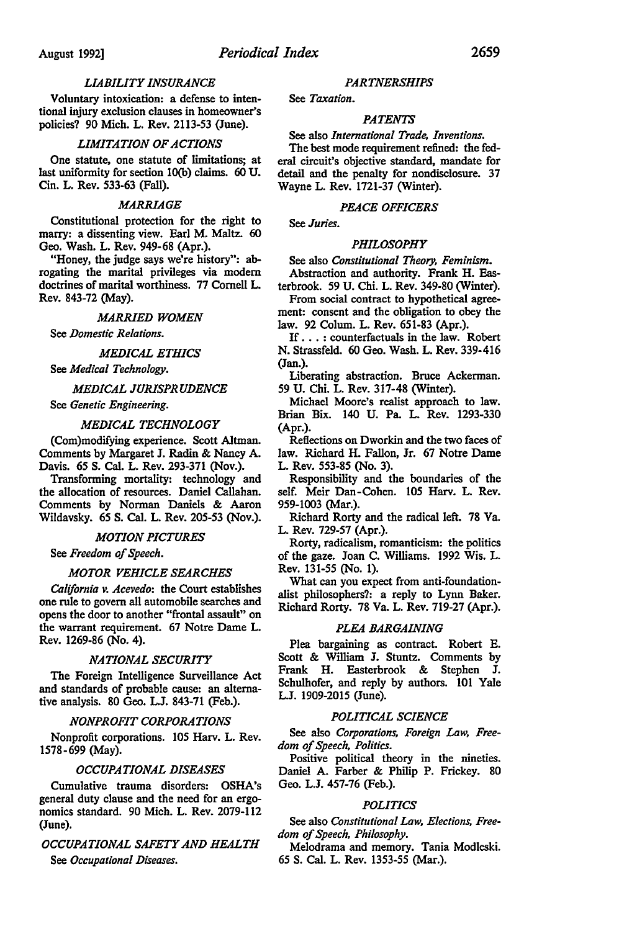## *LIABILITY INSURANCE*

Voluntary intoxication: a defense to intentional injury exclusion clauses in homeowner's policies? 90 Mich. L. Rev. 2113-53 (June).

## *LIMITATION OF ACTIONS*

One statute, one statute of limitations; at last uniformity for section lO(b) claims. 60 U. Cin. L. Rev. 533-63 (Fall).

#### *MARRIAGE*

Constitutional protection for the right to marry: a dissenting view. Earl M. Maltz. 60 Geo. Wash. L. Rev. 949-68 (Apr.).

"Honey, the judge says we're history": abrogating the marital privileges via modern doctrines of marital worthiness. 77 Cornell L. Rev. 843-72 (May).

#### *MARRIED WOMEN*

See *Domestic Relations.* 

#### *MEDICAL ETHICS*

See *Medical Technology.* 

## *MEDICAL JURISPRUDENCE*

See *Genetic Engineering.* 

#### *MEDICAL TECHNOLOGY*

(Com)modifying experience. Scott Altman. Comments by Margaret J. Radin & Nancy A. Davis. 65 S. Cal. L. Rev. 293-371 (Nov.).

Transforming mortality: technology and the allocation of resources. Daniel Callahan. Comments by Norman Daniels & Aaron Wildavsky. 65 S. Cal. L. Rev. 205-53 (Nov.).

## *MOTION PICTURES*

See *Freedom of Speech.* 

#### *MOTOR VEHICLE SEARCHES*

*California v. Acevedo:* the Court establishes one rule to govern all automobile searches and opens the door to another "frontal assault" on the warrant requirement. 67 Notre Dame L. Rev. 1269-86 (No. 4).

## *NATIONAL SECURITY*

The Foreign Intelligence Surveillance Act and standards of probable cause: an alternative analysis. 80 Geo. L.J. 843-71 (Feb.).

## *NONPROFIT CORPORATIONS*

Nonprofit corporations. 105 Harv. L. Rev. 1578-699 (May).

## *OCCUPATIONAL DISEASES*

Cumulative trauma disorders: OSHA's general duty clause and the need for an ergonomics standard. 90 Mich. L. Rev. 2079-112 (June).

## *OCCUPATIONAL SAFETY AND HEALTH*

See *Occupational Diseases.* 

#### *PARTNERSHIPS*

See *Taxation.* 

## *PATENTS*

See also *International Trade, Inventions.* 

The best mode requirement refined: the federal circuit's objective standard, mandate for detail and the penalty for nondisclosure. 37 Wayne L. Rev. 1721-37 (Winter).

#### *PEACE OFFICERS*

See *Juries.* 

#### *PHILOSOPHY*

See also *Constitutional Theory, Feminism.*  Abstraction and authority. Frank H. Eas-

terbrook. 59 U. Chi. L. Rev. 349-80 (Winter). From social contract to hypothetical agree-

ment: consent and the obligation to obey the law. 92 Colum. L. Rev. 651-83 (Apr.).

If ... : counterfactuals in the law. Robert N. Strassfeld. 60 Geo. Wash. L. Rev. 339-416 (Jan.).

Liberating abstraction. Bruce Ackerman. 59 U. Chi. L. Rev. 317-48 (Winter).

Michael Moore's realist approach to law. Brian Bix. 140 U. Pa. L. Rev. 1293-330 (Apr.).

Reflections on Dworkin and the two faces of law. Richard H. Fallon, Jr. 67 Notre Dame L. Rev. 553-85 (No. 3).

Responsibility and the boundaries of the self. Meir Dan-Cohen. 105 Harv. L. Rev. 959-1003 (Mar.).

Richard Rorty and the radical left. 78 Va. L. Rev. 729-57 (Apr.).

Rorty, radicalism, romanticism: the politics of the gaze. Joan C. Williams. 1992 Wis. L. Rev. 131-55 (No. I).

What can you expect from anti-foundationalist philosophers?: a reply to Lynn Baker. Richard Rorty. 78 Va. L. Rev. 719-27 (Apr.).

#### *PLEA BARGAINING*

Plea bargaining as contract. Robert E. Scott & William J. Stuntz. Comments by Frank H. Easterbrook & Stephen J. Schulhofer, and reply by authors. 101 Yale L.J. 1909-2015 (June).

## *POLITICAL SCIENCE*

See also *Corporations, Foreign Law, Freedom of Speech, Politics.* 

Positive political theory in the nineties. Daniel A. Farber & Philip P. Frickey. 80 Geo. L.J. 457-76 (Feb.).

## *POLITICS*

See also *Constitutional Law, Elections, Freedom of Speech, Philosophy.* 

Melodrama and memory. Tania Modleski. 65 S. Cal. L. Rev. 1353-55 (Mar.).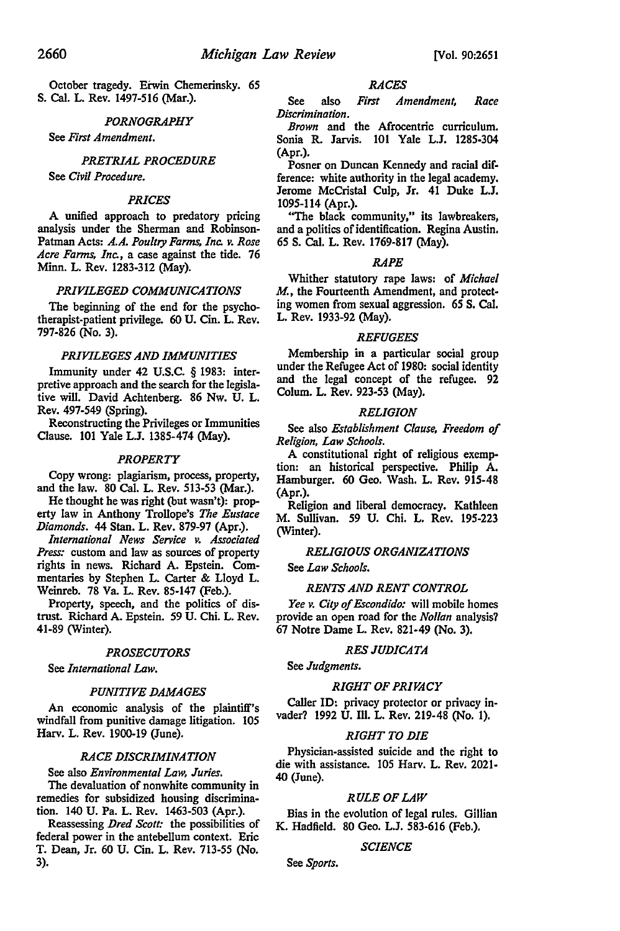October tragedy. Erwin Chemerinsky. 65 S. Cal. L. Rev. 1497-516 (Mar.).

#### *PORNOGRAPHY*

See *First Amendment.* 

## *PRETRIAL PROCEDURE*

See *Civil Procedure.* 

#### *PRICES*

A unified approach to predatory pricing analysis under the Sherman and Robinson-Patman Acts: *A.A. Poultry Farms, Inc. v. Rose Acre Farms, Inc.,* a case against the tide. 76 Minn. L. Rev. 1283-312 (May).

#### *PRIVILEGED COMMUNICATIONS*

The beginning of the end for the psychotherapist-patient privilege. 60 U. Cin. L. Rev. 797-826 (No. 3).

## *PRIVILEGES AND IMMUNITIES*

Immunity under 42 U.S.C. § 1983: interpretive approach and the search for the legislative will. David Achtenberg. 86 Nw. U. L. Rev. 497-549 (Spring).

Reconstructing the Privileges or Immunities Clause. 101 Yale L.J. 1385-474 (May).

## *PROPERTY*

Copy wrong: plagiarism, process, property, and the law. 80 Cal. L. Rev. 513-53 (Mar.).

He thought he was right (but wasn't): property law in Anthony Trollope's *The Eustace Diamonds.* 44 Stan. L. Rev. 879-97 (Apr.).

*International News Service v. Associated Press:* custom and law as sources of property rights in news. Richard A. Epstein. Commentaries by Stephen L. Carter & Lloyd L. Weinreb. 78 Va. L. Rev. 85-147 (Feb.).

Property, speech, and the politics of distrust. Richard A. Epstein. 59 U. Chi. L. Rev. 41-89 (Winter).

## *PROSECUTORS*

See *International Law.* 

#### *PUNITIVE DAMAGES*

An economic analysis of the plaintiff's windfall from punitive damage litigation. 105 Harv. L. Rev. 1900-19 (June).

#### *RACE DISCRIMINATION*

#### See also *Environmental Law, Juries.*

The devaluation of nonwhite community in remedies for subsidized housing discrimination. 140 U. Pa. L. Rev. 1463-503 (Apr.).

Reassessing *Dred Scott:* the possibilities of federal power in the antebellum context. Eric T. Dean, Jr. 60 U. Cin. L. Rev. 713-55 (No. 3).

## *RACES*

See also *First Amendment, Race Discrimination.* 

*Brown* and the Afrocentric curriculum. Sonia R. Jarvis. 101 Yale L.J. 1285-304 (Apr.).

Posner on Duncan Kennedy and racial difference: white authority in the legal academy. Jerome McCristal Culp, Jr. 41 Duke L.J. 1095-114 (Apr.).

"The black community,'' its lawbreakers, and a politics of identification. Regina Austin. 65 S. Cal. L. Rev. 1769-817 (May).

#### *RAPE*

Whither statutory rape laws: of *Michael*  M., the Fourteenth Amendment, and protecting women from sexual aggression. 65 S. Cal. L. Rev. 1933-92 (May).

#### *REFUGEES*

Membership in a particular social group under the Refugee Act of 1980: social identity and the legal concept of the refugee. 92 Colum. L. Rev. 923-53 (May).

#### *RELIGION*

See also *Establishment Clause, Freedom of Religion, Law Schools.* 

A constitutional right of religious exemption: an historical perspective. Philip A. Hamburger. 60 Geo. Wash. L. Rev. 915-48 (Apr.).

Religion and liberal democracy. Kathleen M. Sullivan. 59 U. Chi. L. Rev. 195-223 (Winter).

## *RELIGIOUS ORGANIZATIONS*

See *Law Schools.* 

## *RENTS AND RENT CONTROL*

*Yee v. City of Escondido:* will mobile homes provide an open road for the *No/Ian* analysis? 67 Notre Dame L. Rev. 821-49 (No. 3).

#### *RES JUDICATA*

See *Judgments.* 

#### *RIGHT OF PRIVACY*

Caller ID: privacy protector or privacy invader? 1992 U. Ill. L. Rev. 219-48 (No. 1).

#### *RIGHT TO DIE*

Physician-assisted suicide and the right to die with assistance. 105 Harv. L. Rev. 2021- 40 (June).

#### *RULE OF LAW*

Bias in the evolution of legal rules. Gillian K. Hadfield. 80 Geo. L.J. 583-616 (Feb.).

#### *SCIENCE*

See *Sports.*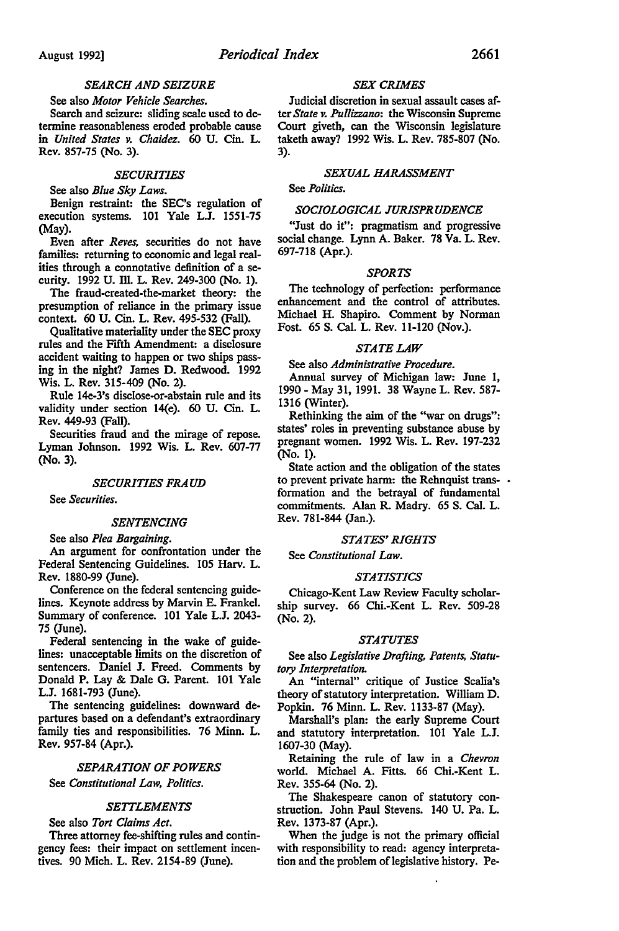See also *Motor Vehicle Searches.*  Search and seizure: sliding scale used to determine reasonableness eroded probable cause in *United States v. Chaidez.* 60 U. Cin. L. Rev. 857-75 (No. 3).

#### *SECURITIES*

See also *Blue Sky Laws.* 

Benign restraint: the SEC's regulation of execution systems. 101 Yale L.J. 1551-75 (May).

Even after *Reves,* securities do not have families: returning to economic and legal realities through a connotative definition of a security. 1992 U. Ill. L. Rev. 249-300 (No. 1).

The fraud-created-the-market theory: the presumption of reliance in the primary issue context. 60 U. Cin. L. Rev. 495-532 (Fall).

Qualitative materiality under the SEC proxy rules and the Fifth Amendment: a disclosure accident waiting to happen or two ships passing in the night? James D. Redwood. 1992 Wis. L. Rev. 315-409 (No. 2).

Rule 14e-3's disclose-or-abstain rule and its validity under section 14(e). 60 U. Cin. L. Rev. 449-93 (Fall).

Securities fraud and the mirage of repose. Lyman Johnson. 1992 Wis. L. Rev. 607-77 (No. 3).

#### *SECURITIES FRAUD*

See *Securities.* 

#### *SENTENCING*

See also *Plea Bargaining.* 

An argument for confrontation under the Federal Sentencing Guidelines. 105 Harv. L. Rev. 1880-99 (June).

Conference on the federal sentencing guidelines. Keynote address by Marvin E. Frankel. Summary of conference. 101 Yale L.J. 2043- 75 (June).

Federal sentencing in the wake of guidelines: unacceptable limits on the discretion of sentencers. Daniel J. Freed. Comments by Donald P. Lay & Dale G. Parent. 101 Yale L.J. 1681-793 (June).

The sentencing guidelines: downward departures based on a defendant's extraordinary family ties and responsibilities. 76 Minn. L. Rev. 957-84 (Apr.).

## *SEPARATION OF POWERS*

See *Constitutional Law, Politics.* 

## *SETTLEMENTS*

See also *Tort Claims Act.* 

Three attorney fee-shifting rules and contingency fees: their impact on settlement incentives. 90 Mich. L. Rev. 2154-89 (June).

## *SEX CRIMES*

Judicial discretion in sexual assault cases after *State v. Pu//izzano:* the Wisconsin Supreme Court giveth, can the Wisconsin legislature taketh away? 1992 Wis. L. Rev. 785-807 (No. 3).

## *SEXUAL HARASSMENT*

See *Politics.* 

## *SOCIOLOGICAL JURISPRUDENCE*

"Just do it": pragmatism and progressive social change. Lynn A. Baker. 78 Va. L. Rev. 697-718 (Apr.).

## *SPORTS*

The technology of perfection: performance enhancement and the control of attributes. Michael H. Shapiro. Comment by Norman Fost. 65 S. Cal. L. Rev. 11-120 (Nov.).

## *STATE LAW*

See also *Administrative Procedure.* 

Annual survey of Michigan law: June 1, 1990 - May 31, 1991. 38 Wayne L. Rev. 587- 1316 (Winter).

Rethinking the aim of the "war on drugs": states' roles in preventing substance abuse by pregnant women. 1992 Wis. L. Rev. 197-232 (No. 1).

State action and the obligation of the states to prevent private harm: the Rehnquist transformation and the betrayal of fundamental commitments. Alan R. Madry. 65 S. Cal. L. Rev. 781-844 (Jan.).

## *STATES' RIGHTS*

See *Constitutional Law.* 

#### *STATISTICS*

Chicago-Kent Law Review Faculty scholarship survey. 66 Chi.-Kent L. Rev. 509-28 (No. 2).

#### *STATUTES*

See also *Legislative Drafting, Patents, Statutory Interpretation.* 

An "internal" critique of Justice Scalia's theory of statutory interpretation. William D. Popkin. 76 Minn. L. Rev. 1133-87 (May).

Marshall's plan: the early Supreme Court and statutory interpretation. 101 Yale L.J. 1607-30 (May).

Retaining the rule of law in a *Chevron*  world. Michael A. Fitts. 66 Chi.-Kent L. Rev. 355-64 (No. 2).

The Shakespeare canon of statutory construction. John Paul Stevens. 140 U. Pa. L. Rev. 1373-87 (Apr.).

When the judge is not the primary official with responsibility to read: agency interpretation and the problem of legislative history. Pe